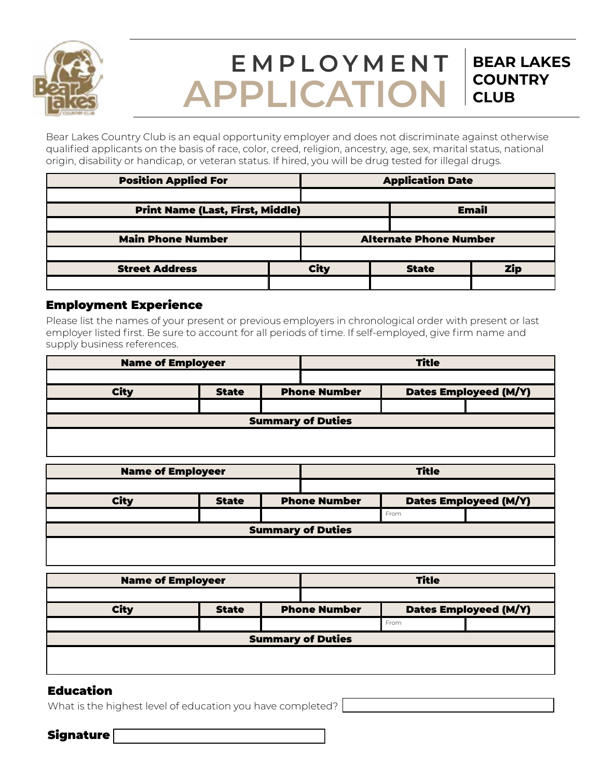

# **EMPLOYMENT APPLICATION**

**BEAR LAKES**

**COUNTRY** 

**CLUB**

Bear Lakes Country Club is an equal opportunity employer and does not discriminate against otherwise qualified applicants on the basis of race, color, creed, religion, ancestry, age, sex, marital status, national origin, disability or handicap, or veteran status. If hired, you will be drug tested for illegal drugs.

| <b>Position Applied For</b>             |  | <b>Application Date</b> |       |                               |            |
|-----------------------------------------|--|-------------------------|-------|-------------------------------|------------|
|                                         |  |                         |       |                               |            |
| <b>Print Name (Last, First, Middle)</b> |  |                         | Email |                               |            |
|                                         |  |                         |       |                               |            |
| <b>Main Phone Number</b>                |  |                         |       | <b>Alternate Phone Number</b> |            |
|                                         |  |                         |       |                               |            |
| <b>Street Address</b>                   |  | <b>City</b>             |       | <b>State</b>                  | <b>Zip</b> |
|                                         |  |                         |       |                               |            |

#### Employment Experience

Please list the names of your present or previous employers in chronological order with present or last employer listed first. Be sure to account for all periods of time. If self-employed, give firm name and supply business references.

| <b>Name of Employeer</b> |              | <b>Title</b>        |  |                              |  |
|--------------------------|--------------|---------------------|--|------------------------------|--|
|                          |              |                     |  |                              |  |
| <b>City</b>              | <b>State</b> | <b>Phone Number</b> |  | <b>Dates Employeed (M/Y)</b> |  |
|                          |              |                     |  |                              |  |
| <b>Summary of Duties</b> |              |                     |  |                              |  |
|                          |              |                     |  |                              |  |
|                          |              |                     |  |                              |  |

| <b>Name of Employeer</b> |              | <b>Title</b> |                                                     |      |  |
|--------------------------|--------------|--------------|-----------------------------------------------------|------|--|
|                          |              |              |                                                     |      |  |
| <b>City</b>              | <b>State</b> |              | <b>Dates Employeed (M/Y)</b><br><b>Phone Number</b> |      |  |
|                          |              |              |                                                     | From |  |
| <b>Summary of Duties</b> |              |              |                                                     |      |  |
|                          |              |              |                                                     |      |  |

| <b>Name of Employeer</b> |              | <b>Title</b>        |  |                       |  |  |
|--------------------------|--------------|---------------------|--|-----------------------|--|--|
|                          |              |                     |  |                       |  |  |
| <b>City</b>              | <b>State</b> | <b>Phone Number</b> |  | Dates Employeed (M/Y) |  |  |
|                          |              |                     |  | From                  |  |  |
| <b>Summary of Duties</b> |              |                     |  |                       |  |  |
|                          |              |                     |  |                       |  |  |
|                          |              |                     |  |                       |  |  |

## Education

What is the highest level of education you have completed?

Signature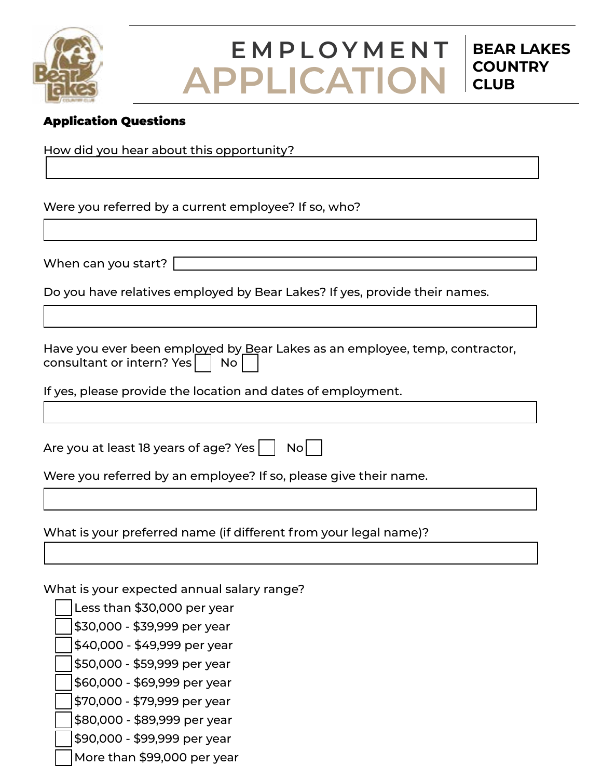

## **EMPLOYMENT APPLICATION**

**BEAR LAKES**

**COUNTRY** 

**CLUB**

## Application Questions

How did you hear about this opportunity?

Were you referred by a current employee? If so, who?

When can you start?

Do you have relatives employed by Bear Lakes? If yes, provide their names.

Have you ever been employed by Bear Lakes as an employee, temp, contractor, consultant or intern? Yes  $|$  No

If yes, please provide the location and dates of employment.

Are you at least 18 years of age? Yes  $|$  No

Were you referred by an employee? If so, please give their name.

What is your preferred name (if different from your legal name)?

What is your expected annual salary range?

Less than \$30,000 per year

\$30,000 - \$39,999 per year

\$40,000 - \$49,999 per year

\$50,000 - \$59,999 per year

\$60,000 - \$69,999 per year

\$70,000 - \$79,999 per year

\$80,000 - \$89,999 per year

\$90,000 - \$99,999 per year

More than \$99,000 per year